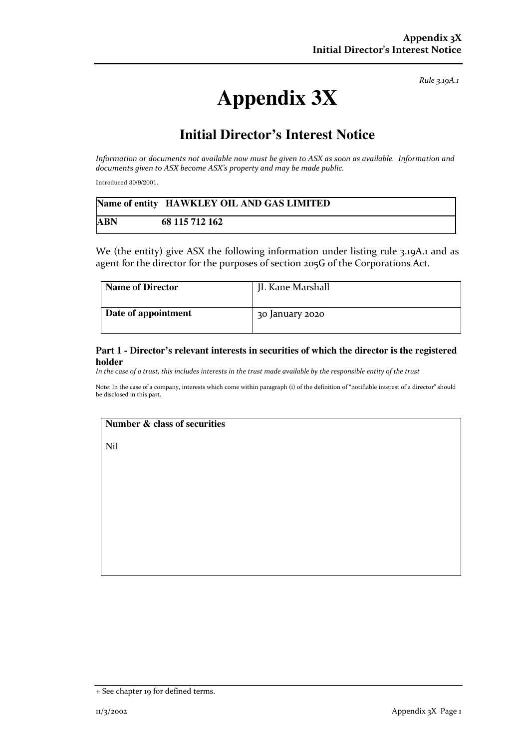*Rule 3.19A.1*

# **Appendix 3X**

# **Initial Director's Interest Notice**

*Information or documents not available now must be given to ASX as soon as available. Information and documents given to ASX become ASX's property and may be made public.* 

Introduced 30/9/2001.

|     | Name of entity HAWKLEY OIL AND GAS LIMITED |
|-----|--------------------------------------------|
| ABN | 68 115 712 162                             |

We (the entity) give ASX the following information under listing rule 3.19A.1 and as agent for the director for the purposes of section 205G of the Corporations Act.

| <b>Name of Director</b> | JL Kane Marshall |
|-------------------------|------------------|
| Date of appointment     | 30 January 2020  |

#### **Part 1 - Director's relevant interests in securities of which the director is the registered holder**

*In the case of a trust, this includes interests in the trust made available by the responsible entity of the trust*

Note: In the case of a company, interests which come within paragraph (i) of the definition of "notifiable interest of a director" should be disclosed in this part.

## **Number & class of securities**

Nil

<sup>+</sup> See chapter 19 for defined terms.